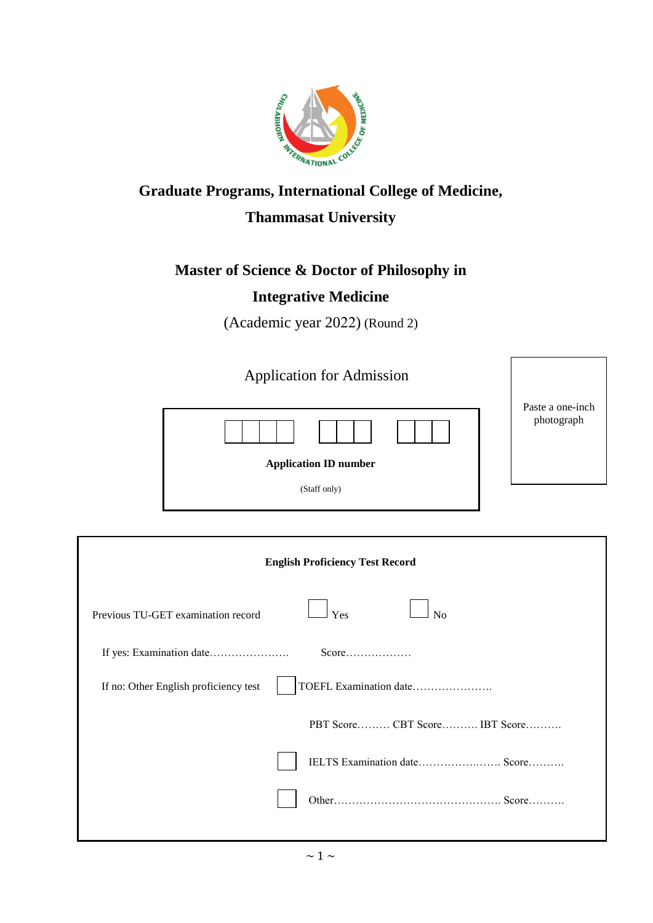

# **Graduate Programs, International College of Medicine,**

## **Thammasat University**

### **Master of Science & Doctor of Philosophy in**

### **Integrative Medicine**

(Academic year 2022) (Round 2)

| <b>Application for Admission</b> |                                |
|----------------------------------|--------------------------------|
|                                  | Paste a one-inch<br>photograph |
| <b>Application ID number</b>     |                                |
| (Staff only)                     |                                |

|                                       | <b>English Proficiency Test Record</b> |
|---------------------------------------|----------------------------------------|
| Previous TU-GET examination record    | Yes<br>N <sub>o</sub>                  |
|                                       |                                        |
| If no: Other English proficiency test | TOEFL Examination date                 |
|                                       | PBT ScoreCBT Score IBT Score           |
|                                       | IELTS Examination date Score           |
|                                       |                                        |
|                                       |                                        |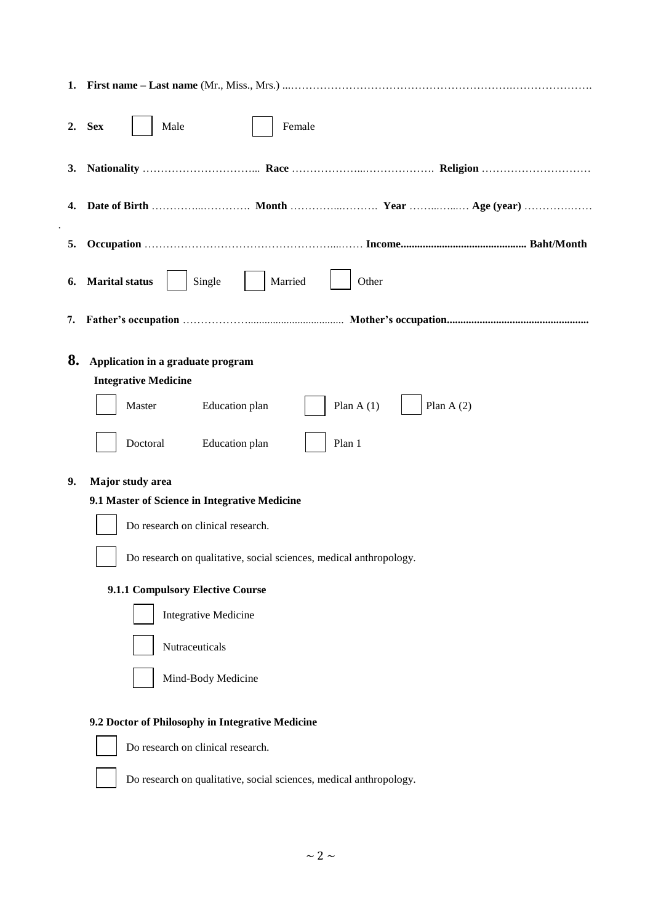| 1.       |                                                                                                                                                                                                                                                                                                                                                                                        |
|----------|----------------------------------------------------------------------------------------------------------------------------------------------------------------------------------------------------------------------------------------------------------------------------------------------------------------------------------------------------------------------------------------|
| 2.       | <b>Sex</b><br>Male<br>Female                                                                                                                                                                                                                                                                                                                                                           |
| 3.       |                                                                                                                                                                                                                                                                                                                                                                                        |
| 4.       |                                                                                                                                                                                                                                                                                                                                                                                        |
| 5.       |                                                                                                                                                                                                                                                                                                                                                                                        |
| 6.       | <b>Marital status</b><br>Single<br>Married<br>Other                                                                                                                                                                                                                                                                                                                                    |
| 7.       |                                                                                                                                                                                                                                                                                                                                                                                        |
| 8.<br>9. | Application in a graduate program<br><b>Integrative Medicine</b><br>Plan $A(1)$<br>Plan $A(2)$<br>Master<br>Education plan<br>Education plan<br>Doctoral<br>Plan 1<br>Major study area<br>9.1 Master of Science in Integrative Medicine<br>Do research on clinical research.<br>Do research on qualitative, social sciences, medical anthropology.<br>9.1.1 Compulsory Elective Course |
|          | <b>Integrative Medicine</b><br>Nutraceuticals<br>Mind-Body Medicine                                                                                                                                                                                                                                                                                                                    |
|          | 9.2 Doctor of Philosophy in Integrative Medicine<br>Do research on clinical research.<br>Do research on qualitative, social sciences, medical anthropology.                                                                                                                                                                                                                            |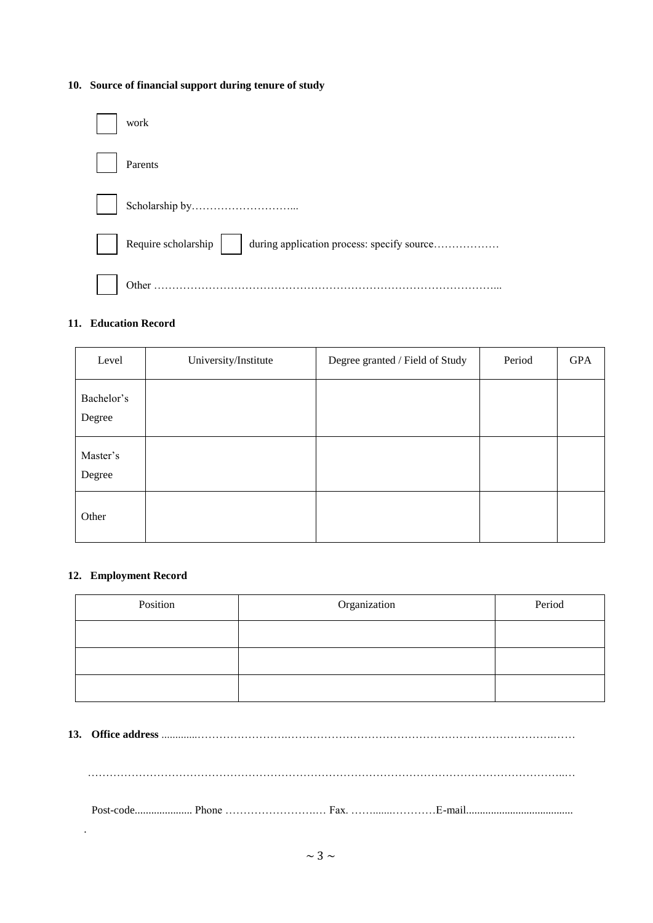### **10. Source of financial support during tenure of study**

| work                                                             |
|------------------------------------------------------------------|
| Parents                                                          |
|                                                                  |
| Require scholarship   during application process: specify source |
| Other                                                            |

### **11. Education Record**

| Level                | University/Institute | Degree granted / Field of Study | Period | <b>GPA</b> |
|----------------------|----------------------|---------------------------------|--------|------------|
| Bachelor's<br>Degree |                      |                                 |        |            |
| Master's<br>Degree   |                      |                                 |        |            |
| Other                |                      |                                 |        |            |

#### **12. Employment Record**

.

| Position | Organization | Period |
|----------|--------------|--------|
|          |              |        |
|          |              |        |
|          |              |        |

**13. Office address** .............…………………….……………………………………………………………….……

…………………………………………………………………………………………………………………..…

Post-code..................... Phone …………………….… Fax. …….......…………E-mail.......................................